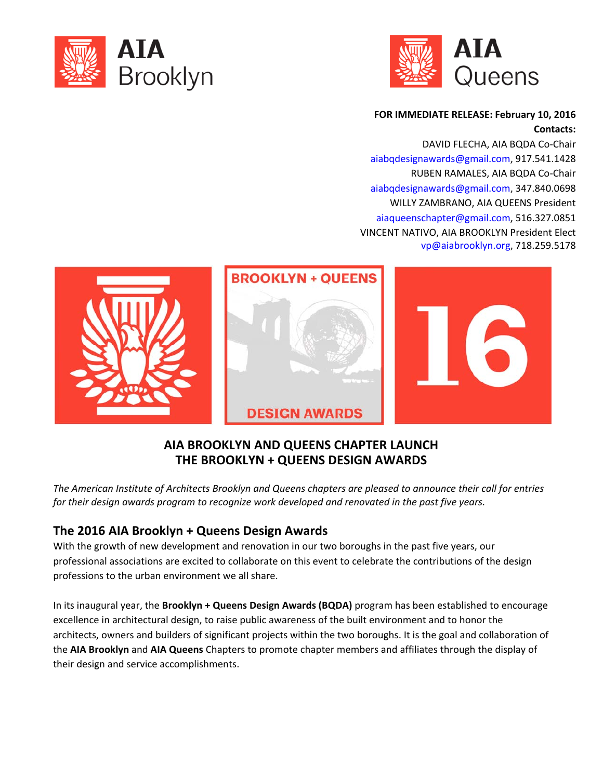



#### **FOR IMMEDIATE RELEASE: February 10, 2016 Contacts:**

DAVID FLECHA, AIA BQDA Co‐Chair aiabqdesignawards@gmail.com, 917.541.1428 RUBEN RAMALES, AIA BQDA Co‐Chair aiabqdesignawards@gmail.com, 347.840.0698 WILLY ZAMBRANO, AIA QUEENS President aiaqueenschapter@gmail.com, 516.327.0851 VINCENT NATIVO, AIA BROOKLYN President Elect vp@aiabrooklyn.org, 718.259.5178



### **AIA BROOKLYN AND QUEENS CHAPTER LAUNCH THE BROOKLYN + QUEENS DESIGN AWARDS**

The American Institute of Architects Brooklyn and Queens chapters are pleased to announce their call for entries *for their design awards program to recognize work developed and renovated in the past five years.*

# **The 2016 AIA Brooklyn + Queens Design Awards**

With the growth of new development and renovation in our two boroughs in the past five years, our professional associations are excited to collaborate on this event to celebrate the contributions of the design professions to the urban environment we all share.

In its inaugural year, the **Brooklyn + Queens Design Awards (BQDA)** program has been established to encourage excellence in architectural design, to raise public awareness of the built environment and to honor the architects, owners and builders of significant projects within the two boroughs. It is the goal and collaboration of the **AIA Brooklyn** and **AIA Queens** Chapters to promote chapter members and affiliates through the display of their design and service accomplishments.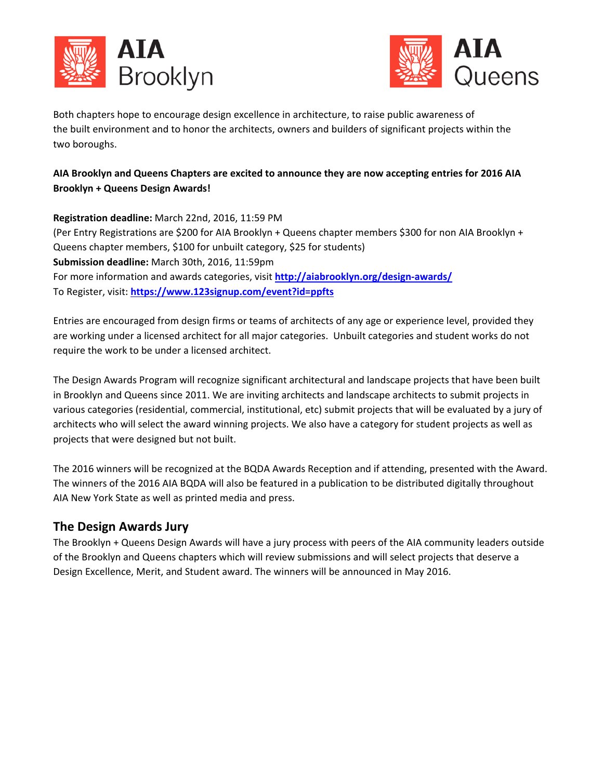



Both chapters hope to encourage design excellence in architecture, to raise public awareness of the built environment and to honor the architects, owners and builders of significant projects within the two boroughs.

### **AIA Brooklyn and Queens Chapters are excited to announce they are now accepting entries for 2016 AIA Brooklyn + Queens Design Awards!**

**Registration deadline:** March 22nd, 2016, 11:59 PM (Per Entry Registrations are \$200 for AIA Brooklyn + Queens chapter members \$300 for non AIA Brooklyn + Queens chapter members, \$100 for unbuilt category, \$25 for students) **Submission deadline:** March 30th, 2016, 11:59pm For more information and awards categories, visit **http://aiabrooklyn.org/design-awards/** To Register, visit: **https://www.123signup.com/event?id=ppfts**

Entries are encouraged from design firms or teams of architects of any age or experience level, provided they are working under a licensed architect for all major categories. Unbuilt categories and student works do not require the work to be under a licensed architect.

The Design Awards Program will recognize significant architectural and landscape projects that have been built in Brooklyn and Queens since 2011. We are inviting architects and landscape architects to submit projects in various categories (residential, commercial, institutional, etc) submit projects that will be evaluated by a jury of architects who will select the award winning projects. We also have a category for student projects as well as projects that were designed but not built.

The 2016 winners will be recognized at the BQDA Awards Reception and if attending, presented with the Award. The winners of the 2016 AIA BQDA will also be featured in a publication to be distributed digitally throughout AIA New York State as well as printed media and press.

### **The Design Awards Jury**

The Brooklyn + Queens Design Awards will have a jury process with peers of the AIA community leaders outside of the Brooklyn and Queens chapters which will review submissions and will select projects that deserve a Design Excellence, Merit, and Student award. The winners will be announced in May 2016.